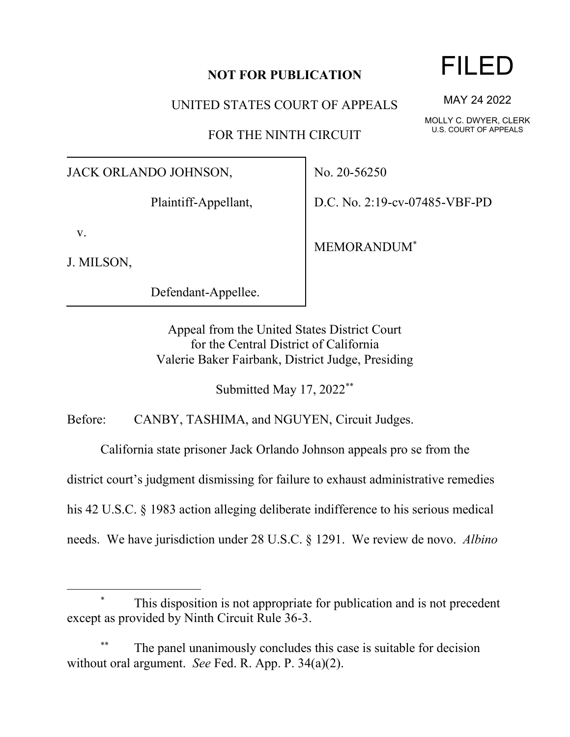## **NOT FOR PUBLICATION**

UNITED STATES COURT OF APPEALS

FOR THE NINTH CIRCUIT

JACK ORLANDO JOHNSON,

Plaintiff-Appellant,

v.

J. MILSON,

Defendant-Appellee.

No. 20-56250

D.C. No. 2:19-cv-07485-VBF-PD

MEMORANDUM\*

Appeal from the United States District Court for the Central District of California Valerie Baker Fairbank, District Judge, Presiding

Submitted May 17, 2022\*\*

Before: CANBY, TASHIMA, and NGUYEN, Circuit Judges.

California state prisoner Jack Orlando Johnson appeals pro se from the

district court's judgment dismissing for failure to exhaust administrative remedies

his 42 U.S.C. § 1983 action alleging deliberate indifference to his serious medical

needs. We have jurisdiction under 28 U.S.C. § 1291. We review de novo. *Albino* 

This disposition is not appropriate for publication and is not precedent except as provided by Ninth Circuit Rule 36-3.

The panel unanimously concludes this case is suitable for decision without oral argument. *See* Fed. R. App. P. 34(a)(2).

## FILED

MAY 24 2022

MOLLY C. DWYER, CLERK U.S. COURT OF APPEALS